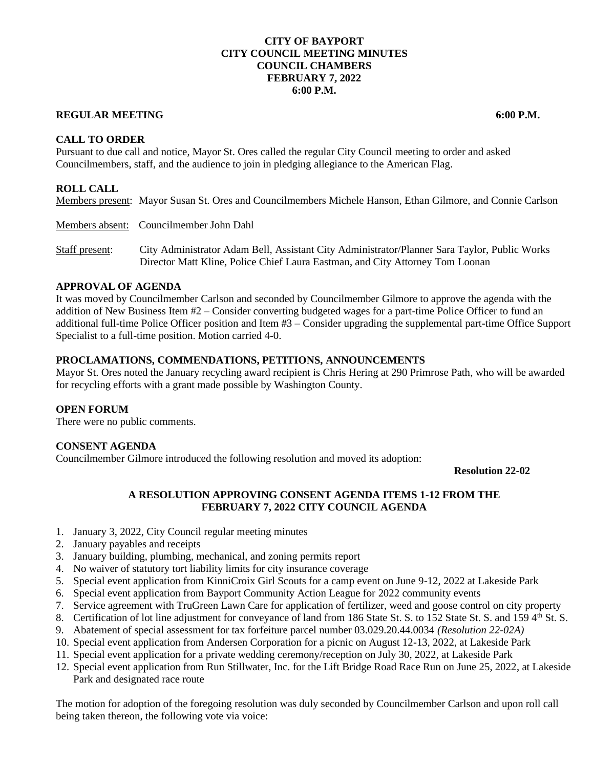## **CITY OF BAYPORT CITY COUNCIL MEETING MINUTES COUNCIL CHAMBERS FEBRUARY 7, 2022 6:00 P.M.**

# **REGULAR MEETING 6:00 P.M.**

**CALL TO ORDER**

Pursuant to due call and notice, Mayor St. Ores called the regular City Council meeting to order and asked Councilmembers, staff, and the audience to join in pledging allegiance to the American Flag.

# **ROLL CALL**

Members present: Mayor Susan St. Ores and Councilmembers Michele Hanson, Ethan Gilmore, and Connie Carlson

Members absent: Councilmember John Dahl

Staff present: City Administrator Adam Bell, Assistant City Administrator/Planner Sara Taylor, Public Works Director Matt Kline, Police Chief Laura Eastman, and City Attorney Tom Loonan

#### **APPROVAL OF AGENDA**

It was moved by Councilmember Carlson and seconded by Councilmember Gilmore to approve the agenda with the addition of New Business Item #2 – Consider converting budgeted wages for a part-time Police Officer to fund an additional full-time Police Officer position and Item #3 – Consider upgrading the supplemental part-time Office Support Specialist to a full-time position. Motion carried 4-0.

## **PROCLAMATIONS, COMMENDATIONS, PETITIONS, ANNOUNCEMENTS**

Mayor St. Ores noted the January recycling award recipient is Chris Hering at 290 Primrose Path, who will be awarded for recycling efforts with a grant made possible by Washington County.

## **OPEN FORUM**

There were no public comments.

## **CONSENT AGENDA**

Councilmember Gilmore introduced the following resolution and moved its adoption:

**Resolution 22-02**

# **A RESOLUTION APPROVING CONSENT AGENDA ITEMS 1-12 FROM THE FEBRUARY 7, 2022 CITY COUNCIL AGENDA**

- 1. January 3, 2022, City Council regular meeting minutes
- 2. January payables and receipts
- 3. January building, plumbing, mechanical, and zoning permits report
- 4. No waiver of statutory tort liability limits for city insurance coverage
- 5. Special event application from KinniCroix Girl Scouts for a camp event on June 9-12, 2022 at Lakeside Park
- 6. Special event application from Bayport Community Action League for 2022 community events
- 7. Service agreement with TruGreen Lawn Care for application of fertilizer, weed and goose control on city property
- 8. Certification of lot line adjustment for conveyance of land from 186 State St. S. to 152 State St. S. and 159 4th St. S.
- 9. Abatement of special assessment for tax forfeiture parcel number 03.029.20.44.0034 *(Resolution 22-02A)*
- 10. Special event application from Andersen Corporation for a picnic on August 12-13, 2022, at Lakeside Park
- 11. Special event application for a private wedding ceremony/reception on July 30, 2022, at Lakeside Park
- 12. Special event application from Run Stillwater, Inc. for the Lift Bridge Road Race Run on June 25, 2022, at Lakeside Park and designated race route

The motion for adoption of the foregoing resolution was duly seconded by Councilmember Carlson and upon roll call being taken thereon, the following vote via voice: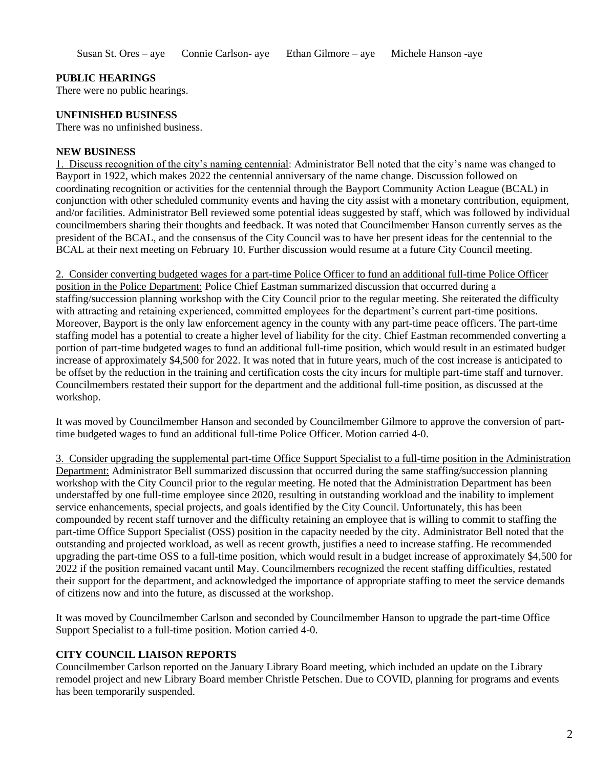## **PUBLIC HEARINGS**

There were no public hearings.

#### **UNFINISHED BUSINESS**

There was no unfinished business.

#### **NEW BUSINESS**

1. Discuss recognition of the city's naming centennial: Administrator Bell noted that the city's name was changed to Bayport in 1922, which makes 2022 the centennial anniversary of the name change. Discussion followed on coordinating recognition or activities for the centennial through the Bayport Community Action League (BCAL) in conjunction with other scheduled community events and having the city assist with a monetary contribution, equipment, and/or facilities. Administrator Bell reviewed some potential ideas suggested by staff, which was followed by individual councilmembers sharing their thoughts and feedback. It was noted that Councilmember Hanson currently serves as the president of the BCAL, and the consensus of the City Council was to have her present ideas for the centennial to the BCAL at their next meeting on February 10. Further discussion would resume at a future City Council meeting.

2. Consider converting budgeted wages for a part-time Police Officer to fund an additional full-time Police Officer position in the Police Department: Police Chief Eastman summarized discussion that occurred during a staffing/succession planning workshop with the City Council prior to the regular meeting. She reiterated the difficulty with attracting and retaining experienced, committed employees for the department's current part-time positions. Moreover, Bayport is the only law enforcement agency in the county with any part-time peace officers. The part-time staffing model has a potential to create a higher level of liability for the city. Chief Eastman recommended converting a portion of part-time budgeted wages to fund an additional full-time position, which would result in an estimated budget increase of approximately \$4,500 for 2022. It was noted that in future years, much of the cost increase is anticipated to be offset by the reduction in the training and certification costs the city incurs for multiple part-time staff and turnover. Councilmembers restated their support for the department and the additional full-time position, as discussed at the workshop.

It was moved by Councilmember Hanson and seconded by Councilmember Gilmore to approve the conversion of parttime budgeted wages to fund an additional full-time Police Officer. Motion carried 4-0.

3. Consider upgrading the supplemental part-time Office Support Specialist to a full-time position in the Administration Department: Administrator Bell summarized discussion that occurred during the same staffing/succession planning workshop with the City Council prior to the regular meeting. He noted that the Administration Department has been understaffed by one full-time employee since 2020, resulting in outstanding workload and the inability to implement service enhancements, special projects, and goals identified by the City Council. Unfortunately, this has been compounded by recent staff turnover and the difficulty retaining an employee that is willing to commit to staffing the part-time Office Support Specialist (OSS) position in the capacity needed by the city. Administrator Bell noted that the outstanding and projected workload, as well as recent growth, justifies a need to increase staffing. He recommended upgrading the part-time OSS to a full-time position, which would result in a budget increase of approximately \$4,500 for 2022 if the position remained vacant until May. Councilmembers recognized the recent staffing difficulties, restated their support for the department, and acknowledged the importance of appropriate staffing to meet the service demands of citizens now and into the future, as discussed at the workshop.

It was moved by Councilmember Carlson and seconded by Councilmember Hanson to upgrade the part-time Office Support Specialist to a full-time position. Motion carried 4-0.

## **CITY COUNCIL LIAISON REPORTS**

Councilmember Carlson reported on the January Library Board meeting, which included an update on the Library remodel project and new Library Board member Christle Petschen. Due to COVID, planning for programs and events has been temporarily suspended.